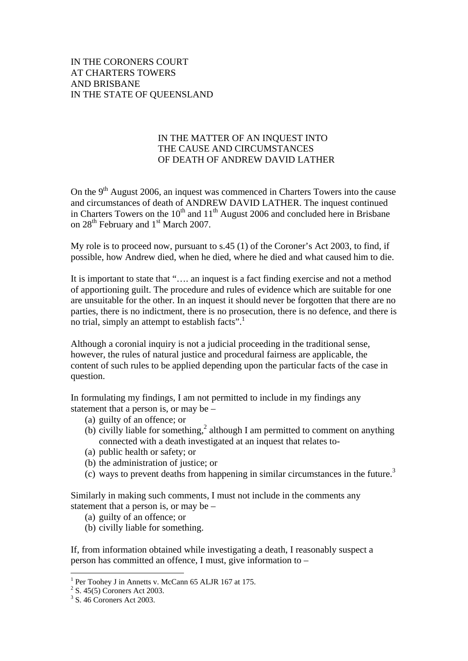## IN THE CORONERS COURT AT CHARTERS TOWERS AND BRISBANE IN THE STATE OF QUEENSLAND

## IN THE MATTER OF AN INQUEST INTO THE CAUSE AND CIRCUMSTANCES OF DEATH OF ANDREW DAVID LATHER

On the  $9<sup>th</sup>$  August 2006, an inquest was commenced in Charters Towers into the cause and circumstances of death of ANDREW DAVID LATHER. The inquest continued in Charters Towers on the  $10^{th}$  and  $11^{th}$  August 2006 and concluded here in Brisbane on 28<sup>th</sup> February and 1<sup>st</sup> March 2007.

My role is to proceed now, pursuant to s.45 (1) of the Coroner's Act 2003, to find, if possible, how Andrew died, when he died, where he died and what caused him to die.

It is important to state that "…. an inquest is a fact finding exercise and not a method of apportioning guilt. The procedure and rules of evidence which are suitable for one are unsuitable for the other. In an inquest it should never be forgotten that there are no parties, there is no indictment, there is no prosecution, there is no defence, and there is no trial, simply an attempt to establish facts".<sup>1</sup>

Although a coronial inquiry is not a judicial proceeding in the traditional sense, however, the rules of natural justice and procedural fairness are applicable, the content of such rules to be applied depending upon the particular facts of the case in question.

In formulating my findings, I am not permitted to include in my findings any statement that a person is, or may be –

- (a) guilty of an offence; or
- (b) civilly liable for something,<sup>2</sup> although I am permitted to comment on anything connected with a death investigated at an inquest that relates to-
- (a) public health or safety; or
- (b) the administration of justice; or
- (c) ways to prevent deaths from happening in similar circumstances in the future.<sup>3</sup>

Similarly in making such comments, I must not include in the comments any statement that a person is, or may be –

- (a) guilty of an offence; or
- (b) civilly liable for something.

If, from information obtained while investigating a death, I reasonably suspect a person has committed an offence, I must, give information to –

<sup>1&</sup>lt;br><sup>1</sup> Per Toohey J in Annetts v. McCann 65 ALJR 167 at 175.

 $2^2$  S. 45(5) Coroners Act 2003.

<sup>3</sup> S. 46 Coroners Act 2003.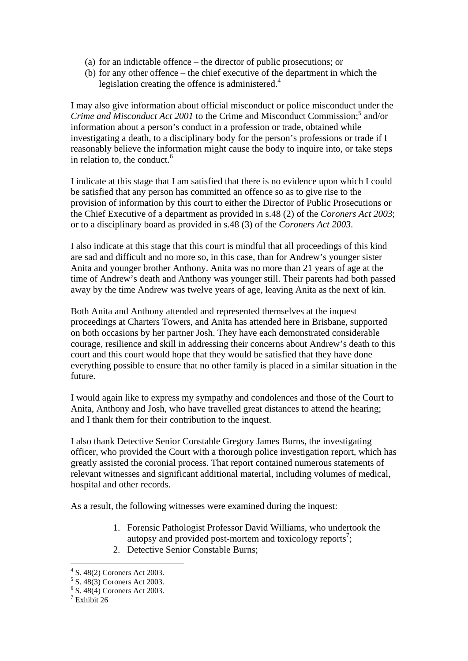- (a) for an indictable offence the director of public prosecutions; or
- (b) for any other offence the chief executive of the department in which the legislation creating the offence is administered. $4$

I may also give information about official misconduct or police misconduct under the *Crime and Misconduct Act 2001* to the Crime and Misconduct Commission;<sup>5</sup> and/or information about a person's conduct in a profession or trade, obtained while investigating a death, to a disciplinary body for the person's professions or trade if I reasonably believe the information might cause the body to inquire into, or take steps in relation to, the conduct. $6$ 

I indicate at this stage that I am satisfied that there is no evidence upon which I could be satisfied that any person has committed an offence so as to give rise to the provision of information by this court to either the Director of Public Prosecutions or the Chief Executive of a department as provided in s.48 (2) of the *Coroners Act 2003*; or to a disciplinary board as provided in s.48 (3) of the *Coroners Act 2003*.

I also indicate at this stage that this court is mindful that all proceedings of this kind are sad and difficult and no more so, in this case, than for Andrew's younger sister Anita and younger brother Anthony. Anita was no more than 21 years of age at the time of Andrew's death and Anthony was younger still. Their parents had both passed away by the time Andrew was twelve years of age, leaving Anita as the next of kin.

Both Anita and Anthony attended and represented themselves at the inquest proceedings at Charters Towers, and Anita has attended here in Brisbane, supported on both occasions by her partner Josh. They have each demonstrated considerable courage, resilience and skill in addressing their concerns about Andrew's death to this court and this court would hope that they would be satisfied that they have done everything possible to ensure that no other family is placed in a similar situation in the future.

I would again like to express my sympathy and condolences and those of the Court to Anita, Anthony and Josh, who have travelled great distances to attend the hearing; and I thank them for their contribution to the inquest.

I also thank Detective Senior Constable Gregory James Burns, the investigating officer, who provided the Court with a thorough police investigation report, which has greatly assisted the coronial process. That report contained numerous statements of relevant witnesses and significant additional material, including volumes of medical, hospital and other records.

As a result, the following witnesses were examined during the inquest:

- 1. Forensic Pathologist Professor David Williams, who undertook the autopsy and provided post-mortem and toxicology reports<sup>7</sup>;
- 2. Detective Senior Constable Burns;

<sup>4</sup> S. 48(2) Coroners Act 2003.

<sup>5</sup> S. 48(3) Coroners Act 2003.

<sup>6</sup> S. 48(4) Coroners Act 2003.

<sup>7</sup> Exhibit 26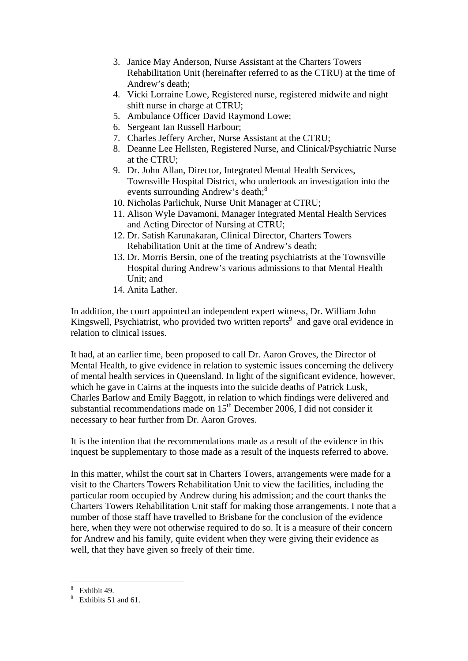- 3. Janice May Anderson, Nurse Assistant at the Charters Towers Rehabilitation Unit (hereinafter referred to as the CTRU) at the time of Andrew's death;
- 4. Vicki Lorraine Lowe, Registered nurse, registered midwife and night shift nurse in charge at CTRU;
- 5. Ambulance Officer David Raymond Lowe;
- 6. Sergeant Ian Russell Harbour;
- 7. Charles Jeffery Archer, Nurse Assistant at the CTRU;
- 8. Deanne Lee Hellsten, Registered Nurse, and Clinical/Psychiatric Nurse at the CTRU;
- 9. Dr. John Allan, Director, Integrated Mental Health Services, Townsville Hospital District, who undertook an investigation into the events surrounding Andrew's death;<sup>8</sup>
- 10. Nicholas Parlichuk, Nurse Unit Manager at CTRU;
- 11. Alison Wyle Davamoni, Manager Integrated Mental Health Services and Acting Director of Nursing at CTRU;
- 12. Dr. Satish Karunakaran, Clinical Director, Charters Towers Rehabilitation Unit at the time of Andrew's death;
- 13. Dr. Morris Bersin, one of the treating psychiatrists at the Townsville Hospital during Andrew's various admissions to that Mental Health Unit; and
- 14. Anita Lather.

In addition, the court appointed an independent expert witness, Dr. William John Kingswell, Psychiatrist, who provided two written reports<sup>9</sup> and gave oral evidence in relation to clinical issues.

It had, at an earlier time, been proposed to call Dr. Aaron Groves, the Director of Mental Health, to give evidence in relation to systemic issues concerning the delivery of mental health services in Queensland. In light of the significant evidence, however, which he gave in Cairns at the inquests into the suicide deaths of Patrick Lusk, Charles Barlow and Emily Baggott, in relation to which findings were delivered and substantial recommendations made on  $15<sup>th</sup>$  December 2006, I did not consider it necessary to hear further from Dr. Aaron Groves.

It is the intention that the recommendations made as a result of the evidence in this inquest be supplementary to those made as a result of the inquests referred to above.

In this matter, whilst the court sat in Charters Towers, arrangements were made for a visit to the Charters Towers Rehabilitation Unit to view the facilities, including the particular room occupied by Andrew during his admission; and the court thanks the Charters Towers Rehabilitation Unit staff for making those arrangements. I note that a number of those staff have travelled to Brisbane for the conclusion of the evidence here, when they were not otherwise required to do so. It is a measure of their concern for Andrew and his family, quite evident when they were giving their evidence as well, that they have given so freely of their time.

<u>.</u>

<sup>8</sup> Exhibit 49.

<sup>&</sup>lt;sup>9</sup> Exhibits 51 and 61.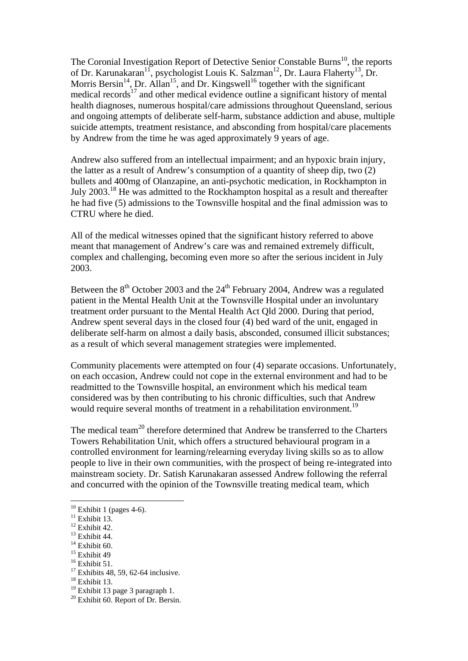The Coronial Investigation Report of Detective Senior Constable Burns<sup>10</sup>, the reports of Dr. Karunakaran<sup>11</sup>, psychologist Louis K. Salzman<sup>12</sup>, Dr. Laura Flaherty<sup>13</sup>, Dr. Morris Bersin<sup>14</sup>, Dr. Allan<sup>15</sup>, and Dr. Kingswell<sup>16</sup> together with the significant medical records $17$  and other medical evidence outline a significant history of mental health diagnoses, numerous hospital/care admissions throughout Queensland, serious and ongoing attempts of deliberate self-harm, substance addiction and abuse, multiple suicide attempts, treatment resistance, and absconding from hospital/care placements by Andrew from the time he was aged approximately 9 years of age.

Andrew also suffered from an intellectual impairment; and an hypoxic brain injury, the latter as a result of Andrew's consumption of a quantity of sheep dip, two (2) bullets and 400mg of Olanzapine, an anti-psychotic medication, in Rockhampton in July 2003.18 He was admitted to the Rockhampton hospital as a result and thereafter he had five (5) admissions to the Townsville hospital and the final admission was to CTRU where he died.

All of the medical witnesses opined that the significant history referred to above meant that management of Andrew's care was and remained extremely difficult, complex and challenging, becoming even more so after the serious incident in July 2003.

Between the  $8<sup>th</sup>$  October 2003 and the  $24<sup>th</sup>$  February 2004, Andrew was a regulated patient in the Mental Health Unit at the Townsville Hospital under an involuntary treatment order pursuant to the Mental Health Act Qld 2000. During that period, Andrew spent several days in the closed four (4) bed ward of the unit, engaged in deliberate self-harm on almost a daily basis, absconded, consumed illicit substances; as a result of which several management strategies were implemented.

Community placements were attempted on four (4) separate occasions. Unfortunately, on each occasion, Andrew could not cope in the external environment and had to be readmitted to the Townsville hospital, an environment which his medical team considered was by then contributing to his chronic difficulties, such that Andrew would require several months of treatment in a rehabilitation environment.<sup>19</sup>

The medical team<sup>20</sup> therefore determined that Andrew be transferred to the Charters Towers Rehabilitation Unit, which offers a structured behavioural program in a controlled environment for learning/relearning everyday living skills so as to allow people to live in their own communities, with the prospect of being re-integrated into mainstream society. Dr. Satish Karunakaran assessed Andrew following the referral and concurred with the opinion of the Townsville treating medical team, which

<u>.</u>

 $10$  Exhibit 1 (pages 4-6).

 $11$  Exhibit 13.

 $12$  Exhibit 42.

<sup>&</sup>lt;sup>13</sup> Exhibit 44.

 $14$  Exhibit 60.

<sup>&</sup>lt;sup>15</sup> Exhibit 49

<sup>&</sup>lt;sup>16</sup> Exhibit 51.

 $17$  Exhibits 48, 59, 62-64 inclusive.

<sup>&</sup>lt;sup>18</sup> Exhibit 13.

 $19$  Exhibit 13 page 3 paragraph 1.

 $20$  Exhibit 60. Report of Dr. Bersin.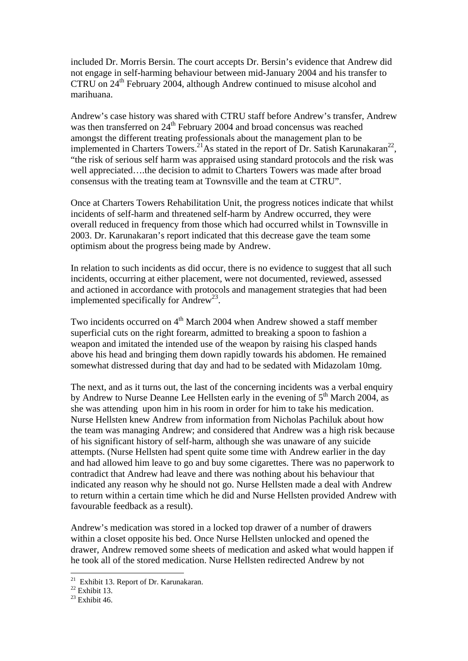included Dr. Morris Bersin. The court accepts Dr. Bersin's evidence that Andrew did not engage in self-harming behaviour between mid-January 2004 and his transfer to CTRU on 24<sup>th</sup> February 2004, although Andrew continued to misuse alcohol and marihuana.

Andrew's case history was shared with CTRU staff before Andrew's transfer, Andrew was then transferred on 24<sup>th</sup> February 2004 and broad concensus was reached amongst the different treating professionals about the management plan to be implemented in Charters Towers.<sup>21</sup>As stated in the report of Dr. Satish Karunakaran<sup>22</sup>, "the risk of serious self harm was appraised using standard protocols and the risk was well appreciated….the decision to admit to Charters Towers was made after broad consensus with the treating team at Townsville and the team at CTRU".

Once at Charters Towers Rehabilitation Unit, the progress notices indicate that whilst incidents of self-harm and threatened self-harm by Andrew occurred, they were overall reduced in frequency from those which had occurred whilst in Townsville in 2003. Dr. Karunakaran's report indicated that this decrease gave the team some optimism about the progress being made by Andrew.

In relation to such incidents as did occur, there is no evidence to suggest that all such incidents, occurring at either placement, were not documented, reviewed, assessed and actioned in accordance with protocols and management strategies that had been implemented specifically for Andrew<sup>23</sup>.

Two incidents occurred on  $4<sup>th</sup>$  March 2004 when Andrew showed a staff member superficial cuts on the right forearm, admitted to breaking a spoon to fashion a weapon and imitated the intended use of the weapon by raising his clasped hands above his head and bringing them down rapidly towards his abdomen. He remained somewhat distressed during that day and had to be sedated with Midazolam 10mg.

The next, and as it turns out, the last of the concerning incidents was a verbal enquiry by Andrew to Nurse Deanne Lee Hellsten early in the evening of  $5<sup>th</sup>$  March 2004, as she was attending upon him in his room in order for him to take his medication. Nurse Hellsten knew Andrew from information from Nicholas Pachiluk about how the team was managing Andrew; and considered that Andrew was a high risk because of his significant history of self-harm, although she was unaware of any suicide attempts. (Nurse Hellsten had spent quite some time with Andrew earlier in the day and had allowed him leave to go and buy some cigarettes. There was no paperwork to contradict that Andrew had leave and there was nothing about his behaviour that indicated any reason why he should not go. Nurse Hellsten made a deal with Andrew to return within a certain time which he did and Nurse Hellsten provided Andrew with favourable feedback as a result).

Andrew's medication was stored in a locked top drawer of a number of drawers within a closet opposite his bed. Once Nurse Hellsten unlocked and opened the drawer, Andrew removed some sheets of medication and asked what would happen if he took all of the stored medication. Nurse Hellsten redirected Andrew by not

 $21$  Exhibit 13. Report of Dr. Karunakaran.

 $22$  Exhibit 13.

 $23$  Exhibit 46.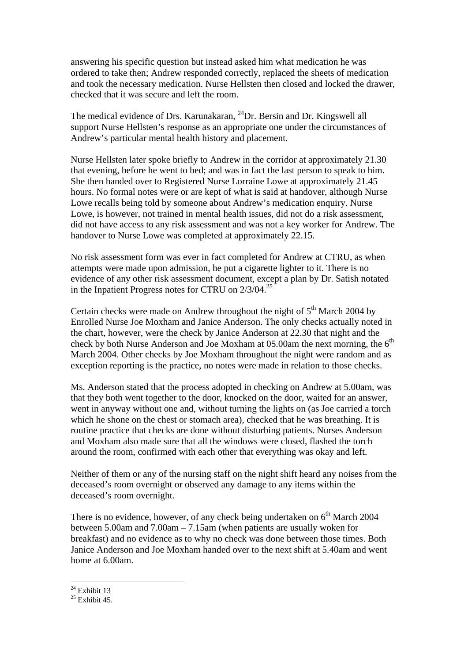answering his specific question but instead asked him what medication he was ordered to take then; Andrew responded correctly, replaced the sheets of medication and took the necessary medication. Nurse Hellsten then closed and locked the drawer, checked that it was secure and left the room.

The medical evidence of Drs. Karunakaran, <sup>24</sup>Dr. Bersin and Dr. Kingswell all support Nurse Hellsten's response as an appropriate one under the circumstances of Andrew's particular mental health history and placement.

Nurse Hellsten later spoke briefly to Andrew in the corridor at approximately 21.30 that evening, before he went to bed; and was in fact the last person to speak to him. She then handed over to Registered Nurse Lorraine Lowe at approximately 21.45 hours. No formal notes were or are kept of what is said at handover, although Nurse Lowe recalls being told by someone about Andrew's medication enquiry. Nurse Lowe, is however, not trained in mental health issues, did not do a risk assessment, did not have access to any risk assessment and was not a key worker for Andrew. The handover to Nurse Lowe was completed at approximately 22.15.

No risk assessment form was ever in fact completed for Andrew at CTRU, as when attempts were made upon admission, he put a cigarette lighter to it. There is no evidence of any other risk assessment document, except a plan by Dr. Satish notated in the Inpatient Progress notes for CTRU on  $2/3/04$ .<sup>25</sup>

Certain checks were made on Andrew throughout the night of  $5<sup>th</sup>$  March 2004 by Enrolled Nurse Joe Moxham and Janice Anderson. The only checks actually noted in the chart, however, were the check by Janice Anderson at 22.30 that night and the check by both Nurse Anderson and Joe Moxham at  $05.00$ am the next morning, the  $6<sup>th</sup>$ March 2004. Other checks by Joe Moxham throughout the night were random and as exception reporting is the practice, no notes were made in relation to those checks.

Ms. Anderson stated that the process adopted in checking on Andrew at 5.00am, was that they both went together to the door, knocked on the door, waited for an answer, went in anyway without one and, without turning the lights on (as Joe carried a torch which he shone on the chest or stomach area), checked that he was breathing. It is routine practice that checks are done without disturbing patients. Nurses Anderson and Moxham also made sure that all the windows were closed, flashed the torch around the room, confirmed with each other that everything was okay and left.

Neither of them or any of the nursing staff on the night shift heard any noises from the deceased's room overnight or observed any damage to any items within the deceased's room overnight.

There is no evidence, however, of any check being undertaken on  $6<sup>th</sup>$  March 2004 between 5.00am and 7.00am – 7.15am (when patients are usually woken for breakfast) and no evidence as to why no check was done between those times. Both Janice Anderson and Joe Moxham handed over to the next shift at 5.40am and went home at 6.00am.

<u>.</u>

 $24$  Exhibit 13

 $25$  Exhibit 45.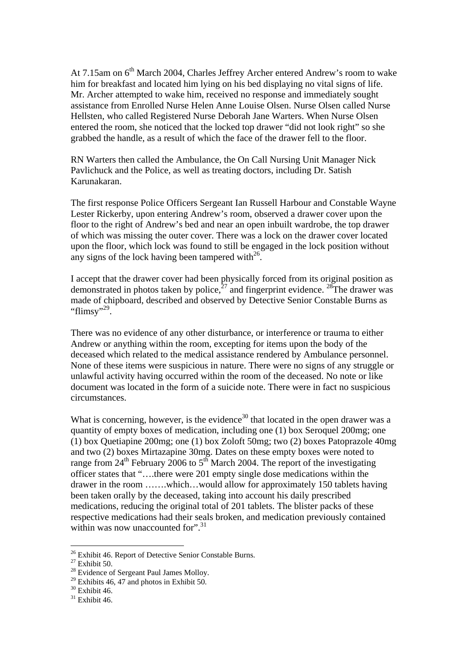At 7.15am on 6<sup>th</sup> March 2004, Charles Jeffrey Archer entered Andrew's room to wake him for breakfast and located him lying on his bed displaying no vital signs of life. Mr. Archer attempted to wake him, received no response and immediately sought assistance from Enrolled Nurse Helen Anne Louise Olsen. Nurse Olsen called Nurse Hellsten, who called Registered Nurse Deborah Jane Warters. When Nurse Olsen entered the room, she noticed that the locked top drawer "did not look right" so she grabbed the handle, as a result of which the face of the drawer fell to the floor.

RN Warters then called the Ambulance, the On Call Nursing Unit Manager Nick Pavlichuck and the Police, as well as treating doctors, including Dr. Satish Karunakaran.

The first response Police Officers Sergeant Ian Russell Harbour and Constable Wayne Lester Rickerby, upon entering Andrew's room, observed a drawer cover upon the floor to the right of Andrew's bed and near an open inbuilt wardrobe, the top drawer of which was missing the outer cover. There was a lock on the drawer cover located upon the floor, which lock was found to still be engaged in the lock position without any signs of the lock having been tampered with $^{26}$ .

I accept that the drawer cover had been physically forced from its original position as demonstrated in photos taken by police, $27$  and fingerprint evidence.  $28$ The drawer was made of chipboard, described and observed by Detective Senior Constable Burns as "flimsy"<sup>29</sup>.

There was no evidence of any other disturbance, or interference or trauma to either Andrew or anything within the room, excepting for items upon the body of the deceased which related to the medical assistance rendered by Ambulance personnel. None of these items were suspicious in nature. There were no signs of any struggle or unlawful activity having occurred within the room of the deceased. No note or like document was located in the form of a suicide note. There were in fact no suspicious circumstances.

What is concerning, however, is the evidence<sup>30</sup> that located in the open drawer was a quantity of empty boxes of medication, including one (1) box Seroquel 200mg; one (1) box Quetiapine 200mg; one (1) box Zoloft 50mg; two (2) boxes Patoprazole 40mg and two (2) boxes Mirtazapine 30mg. Dates on these empty boxes were noted to range from  $24<sup>th</sup>$  February 2006 to  $5<sup>th</sup>$  March 2004. The report of the investigating officer states that "….there were 201 empty single dose medications within the drawer in the room …….which…would allow for approximately 150 tablets having been taken orally by the deceased, taking into account his daily prescribed medications, reducing the original total of 201 tablets. The blister packs of these respective medications had their seals broken, and medication previously contained within was now unaccounted for". $31$ 

<sup>&</sup>lt;sup>26</sup> Exhibit 46. Report of Detective Senior Constable Burns.

 $^{27}$  Exhibit 50.

<sup>&</sup>lt;sup>28</sup> Evidence of Sergeant Paul James Molloy.

<sup>&</sup>lt;sup>29</sup> Exhibits 46, 47 and photos in Exhibit 50.

 $30$  Exhibit 46.

 $31$  Exhibit 46.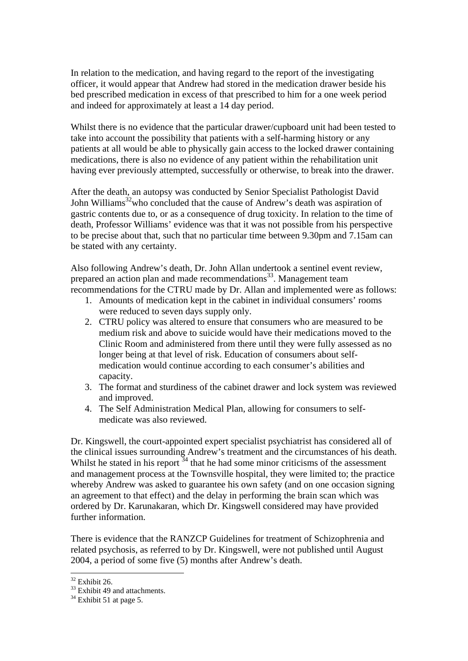In relation to the medication, and having regard to the report of the investigating officer, it would appear that Andrew had stored in the medication drawer beside his bed prescribed medication in excess of that prescribed to him for a one week period and indeed for approximately at least a 14 day period.

Whilst there is no evidence that the particular drawer/cupboard unit had been tested to take into account the possibility that patients with a self-harming history or any patients at all would be able to physically gain access to the locked drawer containing medications, there is also no evidence of any patient within the rehabilitation unit having ever previously attempted, successfully or otherwise, to break into the drawer.

After the death, an autopsy was conducted by Senior Specialist Pathologist David John Williams<sup>32</sup>who concluded that the cause of Andrew's death was aspiration of gastric contents due to, or as a consequence of drug toxicity. In relation to the time of death, Professor Williams' evidence was that it was not possible from his perspective to be precise about that, such that no particular time between 9.30pm and 7.15am can be stated with any certainty.

Also following Andrew's death, Dr. John Allan undertook a sentinel event review, prepared an action plan and made recommendations<sup>33</sup>. Management team recommendations for the CTRU made by Dr. Allan and implemented were as follows:

- 1. Amounts of medication kept in the cabinet in individual consumers' rooms were reduced to seven days supply only.
- 2. CTRU policy was altered to ensure that consumers who are measured to be medium risk and above to suicide would have their medications moved to the Clinic Room and administered from there until they were fully assessed as no longer being at that level of risk. Education of consumers about selfmedication would continue according to each consumer's abilities and capacity.
- 3. The format and sturdiness of the cabinet drawer and lock system was reviewed and improved.
- 4. The Self Administration Medical Plan, allowing for consumers to selfmedicate was also reviewed.

Dr. Kingswell, the court-appointed expert specialist psychiatrist has considered all of the clinical issues surrounding Andrew's treatment and the circumstances of his death. Whilst he stated in his report  $34$  that he had some minor criticisms of the assessment and management process at the Townsville hospital, they were limited to; the practice whereby Andrew was asked to guarantee his own safety (and on one occasion signing an agreement to that effect) and the delay in performing the brain scan which was ordered by Dr. Karunakaran, which Dr. Kingswell considered may have provided further information.

There is evidence that the RANZCP Guidelines for treatment of Schizophrenia and related psychosis, as referred to by Dr. Kingswell, were not published until August 2004, a period of some five (5) months after Andrew's death.

 $32$  Exhibit 26.

<sup>&</sup>lt;sup>33</sup> Exhibit 49 and attachments.

 $34$  Exhibit 51 at page 5.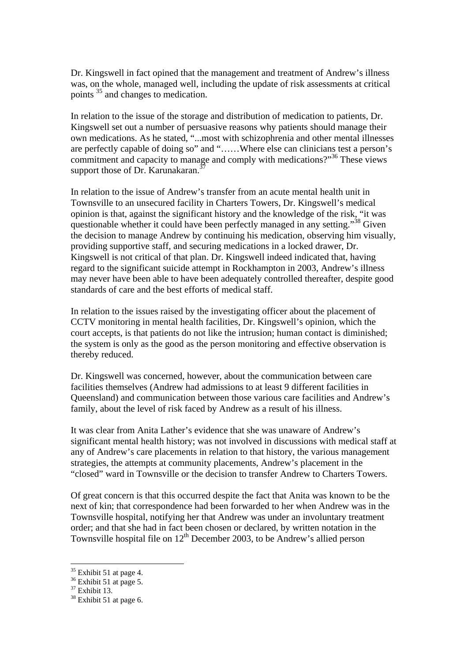Dr. Kingswell in fact opined that the management and treatment of Andrew's illness was, on the whole, managed well, including the update of risk assessments at critical points 35 and changes to medication.

In relation to the issue of the storage and distribution of medication to patients, Dr. Kingswell set out a number of persuasive reasons why patients should manage their own medications. As he stated, "...most with schizophrenia and other mental illnesses are perfectly capable of doing so" and "……Where else can clinicians test a person's commitment and capacity to manage and comply with medications?"36 These views support those of Dr. Karunakaran.<sup>37</sup>

In relation to the issue of Andrew's transfer from an acute mental health unit in Townsville to an unsecured facility in Charters Towers, Dr. Kingswell's medical opinion is that, against the significant history and the knowledge of the risk, "it was questionable whether it could have been perfectly managed in any setting."<sup>38</sup> Given the decision to manage Andrew by continuing his medication, observing him visually, providing supportive staff, and securing medications in a locked drawer, Dr. Kingswell is not critical of that plan. Dr. Kingswell indeed indicated that, having regard to the significant suicide attempt in Rockhampton in 2003, Andrew's illness may never have been able to have been adequately controlled thereafter, despite good standards of care and the best efforts of medical staff.

In relation to the issues raised by the investigating officer about the placement of CCTV monitoring in mental health facilities, Dr. Kingswell's opinion, which the court accepts, is that patients do not like the intrusion; human contact is diminished; the system is only as the good as the person monitoring and effective observation is thereby reduced.

Dr. Kingswell was concerned, however, about the communication between care facilities themselves (Andrew had admissions to at least 9 different facilities in Queensland) and communication between those various care facilities and Andrew's family, about the level of risk faced by Andrew as a result of his illness.

It was clear from Anita Lather's evidence that she was unaware of Andrew's significant mental health history; was not involved in discussions with medical staff at any of Andrew's care placements in relation to that history, the various management strategies, the attempts at community placements, Andrew's placement in the "closed" ward in Townsville or the decision to transfer Andrew to Charters Towers.

Of great concern is that this occurred despite the fact that Anita was known to be the next of kin; that correspondence had been forwarded to her when Andrew was in the Townsville hospital, notifying her that Andrew was under an involuntary treatment order; and that she had in fact been chosen or declared, by written notation in the Townsville hospital file on  $12<sup>th</sup>$  December 2003, to be Andrew's allied person

 $35$  Exhibit 51 at page 4.

 $36$  Exhibit 51 at page 5.

 $37$  Exhibit 13.

<sup>&</sup>lt;sup>38</sup> Exhibit 51 at page 6.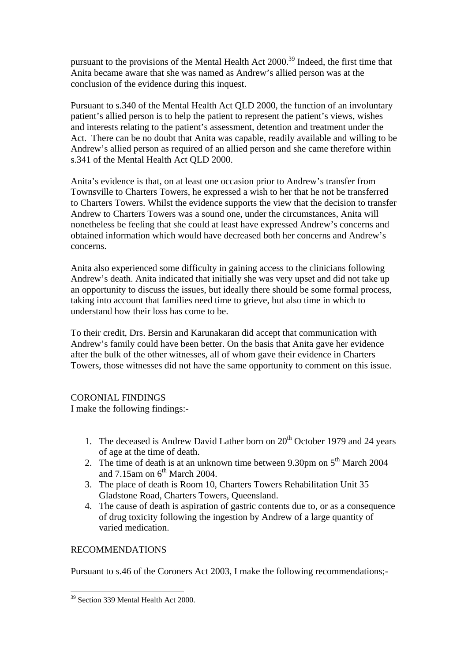pursuant to the provisions of the Mental Health Act 2000.39 Indeed, the first time that Anita became aware that she was named as Andrew's allied person was at the conclusion of the evidence during this inquest.

Pursuant to s.340 of the Mental Health Act QLD 2000, the function of an involuntary patient's allied person is to help the patient to represent the patient's views, wishes and interests relating to the patient's assessment, detention and treatment under the Act. There can be no doubt that Anita was capable, readily available and willing to be Andrew's allied person as required of an allied person and she came therefore within s.341 of the Mental Health Act QLD 2000.

Anita's evidence is that, on at least one occasion prior to Andrew's transfer from Townsville to Charters Towers, he expressed a wish to her that he not be transferred to Charters Towers. Whilst the evidence supports the view that the decision to transfer Andrew to Charters Towers was a sound one, under the circumstances, Anita will nonetheless be feeling that she could at least have expressed Andrew's concerns and obtained information which would have decreased both her concerns and Andrew's concerns.

Anita also experienced some difficulty in gaining access to the clinicians following Andrew's death. Anita indicated that initially she was very upset and did not take up an opportunity to discuss the issues, but ideally there should be some formal process, taking into account that families need time to grieve, but also time in which to understand how their loss has come to be.

To their credit, Drs. Bersin and Karunakaran did accept that communication with Andrew's family could have been better. On the basis that Anita gave her evidence after the bulk of the other witnesses, all of whom gave their evidence in Charters Towers, those witnesses did not have the same opportunity to comment on this issue.

## CORONIAL FINDINGS

I make the following findings:-

- 1. The deceased is Andrew David Lather born on  $20<sup>th</sup>$  October 1979 and 24 years of age at the time of death.
- 2. The time of death is at an unknown time between 9.30pm on  $5<sup>th</sup>$  March 2004 and  $7.15$ am on  $6<sup>th</sup>$  March 2004.
- 3. The place of death is Room 10, Charters Towers Rehabilitation Unit 35 Gladstone Road, Charters Towers, Queensland.
- 4. The cause of death is aspiration of gastric contents due to, or as a consequence of drug toxicity following the ingestion by Andrew of a large quantity of varied medication.

## RECOMMENDATIONS

1

Pursuant to s.46 of the Coroners Act 2003, I make the following recommendations;-

<sup>&</sup>lt;sup>39</sup> Section 339 Mental Health Act 2000.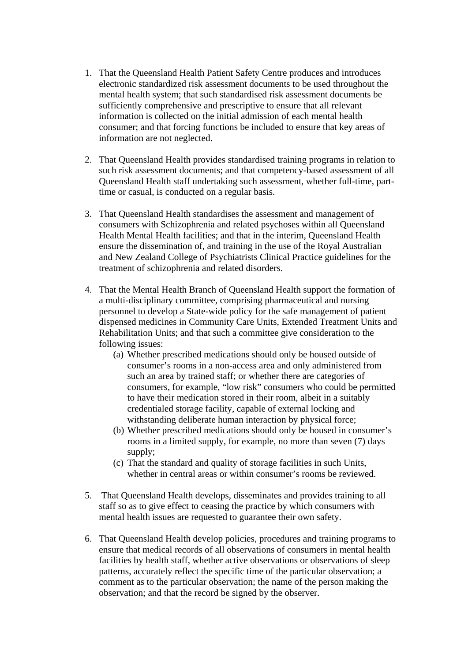- 1. That the Queensland Health Patient Safety Centre produces and introduces electronic standardized risk assessment documents to be used throughout the mental health system; that such standardised risk assessment documents be sufficiently comprehensive and prescriptive to ensure that all relevant information is collected on the initial admission of each mental health consumer; and that forcing functions be included to ensure that key areas of information are not neglected.
- 2. That Queensland Health provides standardised training programs in relation to such risk assessment documents; and that competency-based assessment of all Queensland Health staff undertaking such assessment, whether full-time, parttime or casual, is conducted on a regular basis.
- 3. That Queensland Health standardises the assessment and management of consumers with Schizophrenia and related psychoses within all Queensland Health Mental Health facilities; and that in the interim, Queensland Health ensure the dissemination of, and training in the use of the Royal Australian and New Zealand College of Psychiatrists Clinical Practice guidelines for the treatment of schizophrenia and related disorders.
- 4. That the Mental Health Branch of Queensland Health support the formation of a multi-disciplinary committee, comprising pharmaceutical and nursing personnel to develop a State-wide policy for the safe management of patient dispensed medicines in Community Care Units, Extended Treatment Units and Rehabilitation Units; and that such a committee give consideration to the following issues:
	- (a) Whether prescribed medications should only be housed outside of consumer's rooms in a non-access area and only administered from such an area by trained staff; or whether there are categories of consumers, for example, "low risk" consumers who could be permitted to have their medication stored in their room, albeit in a suitably credentialed storage facility, capable of external locking and withstanding deliberate human interaction by physical force;
	- (b) Whether prescribed medications should only be housed in consumer's rooms in a limited supply, for example, no more than seven (7) days supply;
	- (c) That the standard and quality of storage facilities in such Units, whether in central areas or within consumer's rooms be reviewed.
- 5. That Queensland Health develops, disseminates and provides training to all staff so as to give effect to ceasing the practice by which consumers with mental health issues are requested to guarantee their own safety.
- 6. That Queensland Health develop policies, procedures and training programs to ensure that medical records of all observations of consumers in mental health facilities by health staff, whether active observations or observations of sleep patterns, accurately reflect the specific time of the particular observation; a comment as to the particular observation; the name of the person making the observation; and that the record be signed by the observer.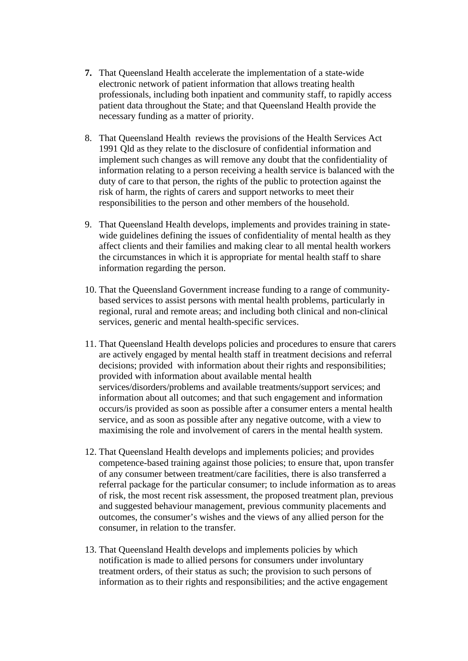- **7.** That Queensland Health accelerate the implementation of a state-wide electronic network of patient information that allows treating health professionals, including both inpatient and community staff, to rapidly access patient data throughout the State; and that Queensland Health provide the necessary funding as a matter of priority.
- 8. That Queensland Health reviews the provisions of the Health Services Act 1991 Qld as they relate to the disclosure of confidential information and implement such changes as will remove any doubt that the confidentiality of information relating to a person receiving a health service is balanced with the duty of care to that person, the rights of the public to protection against the risk of harm, the rights of carers and support networks to meet their responsibilities to the person and other members of the household.
- 9. That Queensland Health develops, implements and provides training in statewide guidelines defining the issues of confidentiality of mental health as they affect clients and their families and making clear to all mental health workers the circumstances in which it is appropriate for mental health staff to share information regarding the person.
- 10. That the Queensland Government increase funding to a range of communitybased services to assist persons with mental health problems, particularly in regional, rural and remote areas; and including both clinical and non-clinical services, generic and mental health-specific services.
- 11. That Queensland Health develops policies and procedures to ensure that carers are actively engaged by mental health staff in treatment decisions and referral decisions; provided with information about their rights and responsibilities; provided with information about available mental health services/disorders/problems and available treatments/support services; and information about all outcomes; and that such engagement and information occurs/is provided as soon as possible after a consumer enters a mental health service, and as soon as possible after any negative outcome, with a view to maximising the role and involvement of carers in the mental health system.
- 12. That Queensland Health develops and implements policies; and provides competence-based training against those policies; to ensure that, upon transfer of any consumer between treatment/care facilities, there is also transferred a referral package for the particular consumer; to include information as to areas of risk, the most recent risk assessment, the proposed treatment plan, previous and suggested behaviour management, previous community placements and outcomes, the consumer's wishes and the views of any allied person for the consumer, in relation to the transfer.
- 13. That Queensland Health develops and implements policies by which notification is made to allied persons for consumers under involuntary treatment orders, of their status as such; the provision to such persons of information as to their rights and responsibilities; and the active engagement